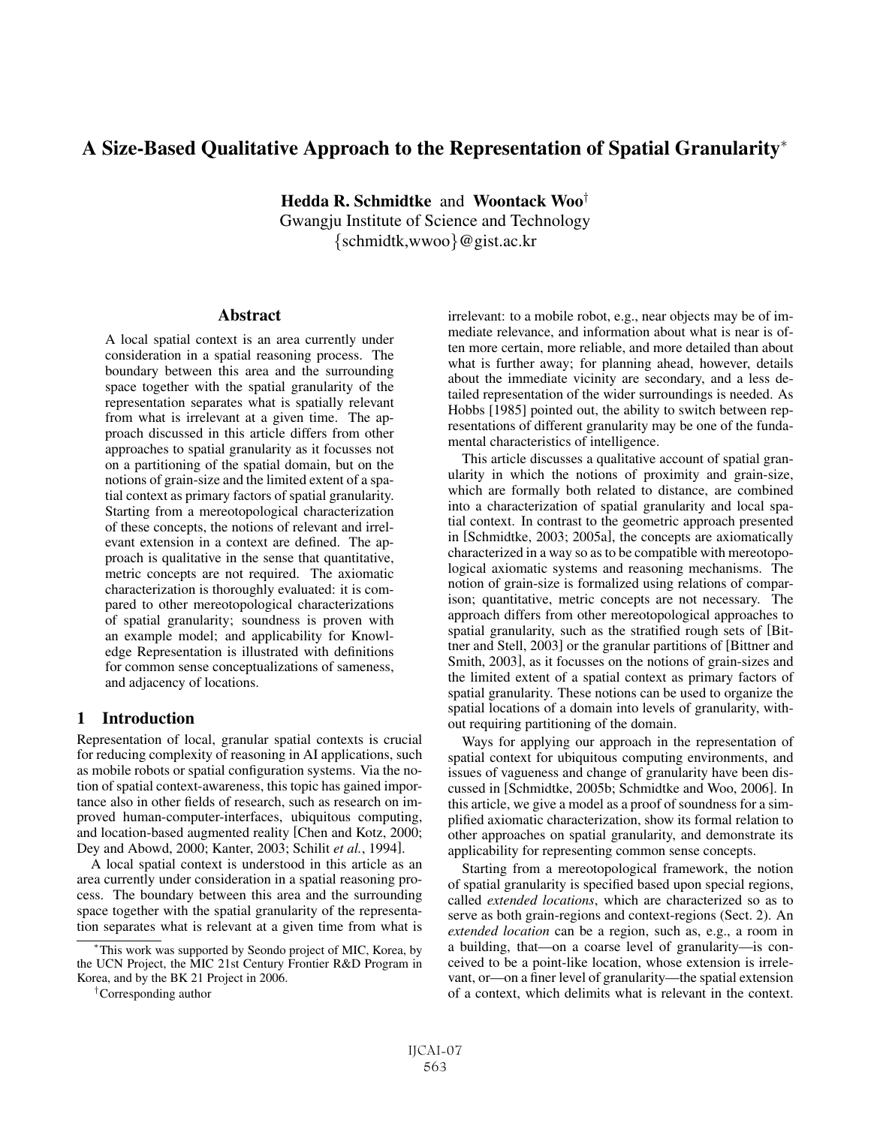# A Size-Based Qualitative Approach to the Representation of Spatial Granularity<sup>∗</sup>

Hedda R. Schmidtke and Woontack Woo† Gwangju Institute of Science and Technology {schmidtk,wwoo}@gist.ac.kr

### Abstract

A local spatial context is an area currently under consideration in a spatial reasoning process. The boundary between this area and the surrounding space together with the spatial granularity of the representation separates what is spatially relevant from what is irrelevant at a given time. The approach discussed in this article differs from other approaches to spatial granularity as it focusses not on a partitioning of the spatial domain, but on the notions of grain-size and the limited extent of a spatial context as primary factors of spatial granularity. Starting from a mereotopological characterization of these concepts, the notions of relevant and irrelevant extension in a context are defined. The approach is qualitative in the sense that quantitative, metric concepts are not required. The axiomatic characterization is thoroughly evaluated: it is compared to other mereotopological characterizations of spatial granularity; soundness is proven with an example model; and applicability for Knowledge Representation is illustrated with definitions for common sense conceptualizations of sameness, and adjacency of locations.

# 1 Introduction

Representation of local, granular spatial contexts is crucial for reducing complexity of reasoning in AI applications, such as mobile robots or spatial configuration systems. Via the notion of spatial context-awareness, this topic has gained importance also in other fields of research, such as research on improved human-computer-interfaces, ubiquitous computing, and location-based augmented reality [Chen and Kotz, 2000; Dey and Abowd, 2000; Kanter, 2003; Schilit *et al.*, 1994].

A local spatial context is understood in this article as an area currently under consideration in a spatial reasoning process. The boundary between this area and the surrounding space together with the spatial granularity of the representation separates what is relevant at a given time from what is irrelevant: to a mobile robot, e.g., near objects may be of immediate relevance, and information about what is near is often more certain, more reliable, and more detailed than about what is further away; for planning ahead, however, details about the immediate vicinity are secondary, and a less detailed representation of the wider surroundings is needed. As Hobbs [1985] pointed out, the ability to switch between representations of different granularity may be one of the fundamental characteristics of intelligence.

This article discusses a qualitative account of spatial granularity in which the notions of proximity and grain-size, which are formally both related to distance, are combined into a characterization of spatial granularity and local spatial context. In contrast to the geometric approach presented in [Schmidtke, 2003; 2005a], the concepts are axiomatically characterized in a way so as to be compatible with mereotopological axiomatic systems and reasoning mechanisms. The notion of grain-size is formalized using relations of comparison; quantitative, metric concepts are not necessary. The approach differs from other mereotopological approaches to spatial granularity, such as the stratified rough sets of [Bittner and Stell, 2003] or the granular partitions of [Bittner and Smith, 2003], as it focusses on the notions of grain-sizes and the limited extent of a spatial context as primary factors of spatial granularity. These notions can be used to organize the spatial locations of a domain into levels of granularity, without requiring partitioning of the domain.

Ways for applying our approach in the representation of spatial context for ubiquitous computing environments, and issues of vagueness and change of granularity have been discussed in [Schmidtke, 2005b; Schmidtke and Woo, 2006]. In this article, we give a model as a proof of soundness for a simplified axiomatic characterization, show its formal relation to other approaches on spatial granularity, and demonstrate its applicability for representing common sense concepts.

Starting from a mereotopological framework, the notion of spatial granularity is specified based upon special regions, called *extended locations*, which are characterized so as to serve as both grain-regions and context-regions (Sect. 2). An *extended location* can be a region, such as, e.g., a room in a building, that—on a coarse level of granularity—is conceived to be a point-like location, whose extension is irrelevant, or—on a finer level of granularity—the spatial extension of a context, which delimits what is relevant in the context.

<sup>∗</sup>This work was supported by Seondo project of MIC, Korea, by the UCN Project, the MIC 21st Century Frontier R&D Program in Korea, and by the BK 21 Project in 2006.

<sup>†</sup>Corresponding author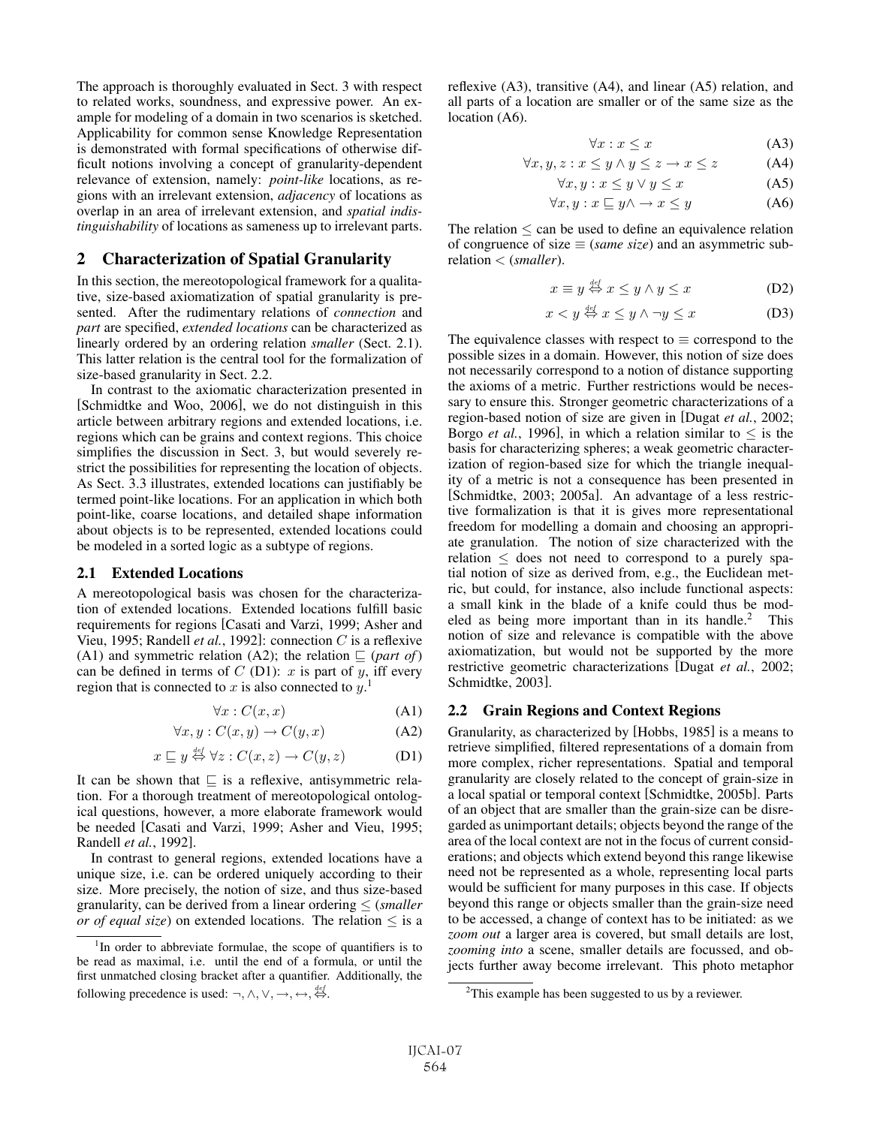The approach is thoroughly evaluated in Sect. 3 with respect to related works, soundness, and expressive power. An example for modeling of a domain in two scenarios is sketched. Applicability for common sense Knowledge Representation is demonstrated with formal specifications of otherwise difficult notions involving a concept of granularity-dependent relevance of extension, namely: *point-like* locations, as regions with an irrelevant extension, *adjacency* of locations as overlap in an area of irrelevant extension, and *spatial indistinguishability* of locations as sameness up to irrelevant parts.

# 2 Characterization of Spatial Granularity

In this section, the mereotopological framework for a qualitative, size-based axiomatization of spatial granularity is presented. After the rudimentary relations of *connection* and *part* are specified, *extended locations* can be characterized as linearly ordered by an ordering relation *smaller* (Sect. 2.1). This latter relation is the central tool for the formalization of size-based granularity in Sect. 2.2.

In contrast to the axiomatic characterization presented in [Schmidtke and Woo, 2006], we do not distinguish in this article between arbitrary regions and extended locations, i.e. regions which can be grains and context regions. This choice simplifies the discussion in Sect. 3, but would severely restrict the possibilities for representing the location of objects. As Sect. 3.3 illustrates, extended locations can justifiably be termed point-like locations. For an application in which both point-like, coarse locations, and detailed shape information about objects is to be represented, extended locations could be modeled in a sorted logic as a subtype of regions.

#### 2.1 Extended Locations

A mereotopological basis was chosen for the characterization of extended locations. Extended locations fulfill basic requirements for regions [Casati and Varzi, 1999; Asher and Vieu, 1995; Randell *et al.*, 1992]: connection C is a reflexive (A1) and symmetric relation (A2); the relation  $\subseteq$  (*part of*) can be defined in terms of  $C$  (D1):  $x$  is part of  $y$ , iff every region that is connected to x is also connected to  $y$ <sup>1</sup>.

$$
\forall x : C(x, x) \tag{A1}
$$
\n
$$
C(x, x) = C(x, x) \tag{A2}
$$

$$
\forall x, y : C(x, y) \to C(y, x)
$$
 (A2)

$$
x \sqsubseteq y \stackrel{\text{def}}{\leftrightarrow} \forall z : C(x, z) \to C(y, z) \tag{D1}
$$

It can be shown that  $\subseteq$  is a reflexive, antisymmetric relation. For a thorough treatment of mereotopological ontological questions, however, a more elaborate framework would be needed [Casati and Varzi, 1999; Asher and Vieu, 1995; Randell *et al.*, 1992].

In contrast to general regions, extended locations have a unique size, i.e. can be ordered uniquely according to their size. More precisely, the notion of size, and thus size-based granularity, can be derived from a linear ordering ≤ (*smaller or of equal size*) on extended locations. The relation  $\leq$  is a reflexive (A3), transitive (A4), and linear (A5) relation, and all parts of a location are smaller or of the same size as the location (A6).

$$
\forall x: x \le x \tag{A3}
$$

$$
\forall x, y, z: x \le y \land y \le z \to x \le z \tag{A4}
$$

$$
\forall x, y: x \le y \lor y \le x \tag{A5}
$$

$$
\forall x, y: x \sqsubseteq y \land \rightarrow x \le y \tag{A6}
$$

The relation  $\leq$  can be used to define an equivalence relation of congruence of size  $\equiv$  (*same size*) and an asymmetric subrelation < (*smaller*).

$$
x \equiv y \stackrel{\text{def}}{\Leftrightarrow} x \le y \land y \le x \tag{D2}
$$

$$
x < y \stackrel{\text{def}}{\Leftrightarrow} x \le y \land \neg y \le x \tag{D3}
$$

The equivalence classes with respect to  $\equiv$  correspond to the possible sizes in a domain. However, this notion of size does not necessarily correspond to a notion of distance supporting the axioms of a metric. Further restrictions would be necessary to ensure this. Stronger geometric characterizations of a region-based notion of size are given in [Dugat *et al.*, 2002; Borgo *et al.*, 1996], in which a relation similar to  $\leq$  is the basis for characterizing spheres; a weak geometric characterization of region-based size for which the triangle inequality of a metric is not a consequence has been presented in [Schmidtke, 2003; 2005a]. An advantage of a less restrictive formalization is that it is gives more representational freedom for modelling a domain and choosing an appropriate granulation. The notion of size characterized with the relation  $\leq$  does not need to correspond to a purely spatial notion of size as derived from, e.g., the Euclidean metric, but could, for instance, also include functional aspects: a small kink in the blade of a knife could thus be modeled as being more important than in its handle.<sup>2</sup> This notion of size and relevance is compatible with the above axiomatization, but would not be supported by the more restrictive geometric characterizations [Dugat *et al.*, 2002; Schmidtke, 2003].

# 2.2 Grain Regions and Context Regions

Granularity, as characterized by [Hobbs, 1985] is a means to retrieve simplified, filtered representations of a domain from more complex, richer representations. Spatial and temporal granularity are closely related to the concept of grain-size in a local spatial or temporal context [Schmidtke, 2005b]. Parts of an object that are smaller than the grain-size can be disregarded as unimportant details; objects beyond the range of the area of the local context are not in the focus of current considerations; and objects which extend beyond this range likewise need not be represented as a whole, representing local parts would be sufficient for many purposes in this case. If objects beyond this range or objects smaller than the grain-size need to be accessed, a change of context has to be initiated: as we *zoom out* a larger area is covered, but small details are lost, *zooming into* a scene, smaller details are focussed, and objects further away become irrelevant. This photo metaphor

<sup>&</sup>lt;sup>1</sup>In order to abbreviate formulae, the scope of quantifiers is to be read as maximal, i.e. until the end of a formula, or until the first unmatched closing bracket after a quantifier. Additionally, the following precedence is used:  $\neg, \wedge, \vee, \rightarrow, \leftrightarrow, \stackrel{\text{def}}{\Leftrightarrow}$ .

 $2$ This example has been suggested to us by a reviewer.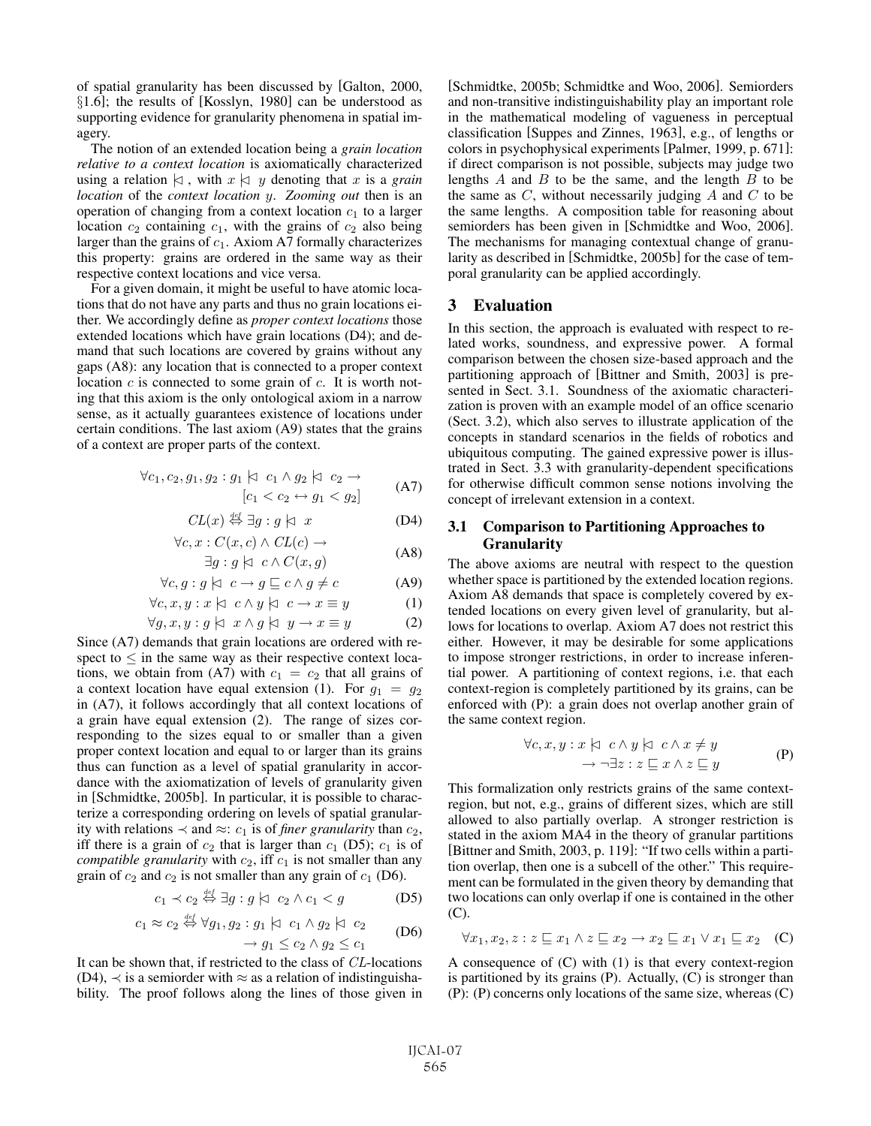of spatial granularity has been discussed by [Galton, 2000, §1.6]; the results of [Kosslyn, 1980] can be understood as supporting evidence for granularity phenomena in spatial imagery.

The notion of an extended location being a *grain location relative to a context location* is axiomatically characterized using a relation  $\vert \lambda \rangle$ , with  $x \vert \lambda \rangle$  y denoting that x is a *grain* location of the context location y. Zooming out then is an *location* of the *context location* y. *Zooming out* then is an operation of changing from a context location  $c_1$  to a larger location  $c_2$  containing  $c_1$ , with the grains of  $c_2$  also being larger than the grains of  $c_1$ . Axiom A7 formally characterizes this property: grains are ordered in the same way as their respective context locations and vice versa.

For a given domain, it might be useful to have atomic locations that do not have any parts and thus no grain locations either. We accordingly define as *proper context locations* those extended locations which have grain locations (D4); and demand that such locations are covered by grains without any gaps (A8): any location that is connected to a proper context location  $c$  is connected to some grain of  $c$ . It is worth noting that this axiom is the only ontological axiom in a narrow sense, as it actually guarantees existence of locations under certain conditions. The last axiom (A9) states that the grains of a context are proper parts of the context.

$$
\forall c_1, c_2, g_1, g_2 : g_1 \upharpoonright c_1 \land g_2 \upharpoonright c_2 \to
$$
  
\n
$$
[c_1 < c_2 \leftrightarrow g_1 < g_2]
$$
\n(A7)

$$
CL(x) \stackrel{\text{def}}{\Leftrightarrow} \exists g : g \upharpoonright x \tag{D4}
$$

$$
\forall c, x : C(x, c) \land CL(c) \rightarrow \exists g : g \uplus c \land C(x, g)
$$
 (A8)

$$
\forall c, g: g \mid c \to g \sqsubseteq c \land g \neq c \tag{A9}
$$

$$
\forall c, x, y : x \mid c \land y \mid c \to x \equiv y \tag{1}
$$

$$
\forall c, x, y : x \bowtie c \land y \bowtie c \to x \equiv y \tag{1}
$$
\n
$$
\forall g, x, y : g \bowtie x \land g \bowtie y \to x \equiv y \tag{2}
$$
\nalmost that origin locations are ordered with no.

 $\forall g, x, y : g \land x \land g \land y \rightarrow x \equiv y$  (2)<br>Since (A7) demands that grain locations are ordered with respect to  $\leq$  in the same way as their respective context locations, we obtain from (A7) with  $c_1 = c_2$  that all grains of a context location have equal extension (1). For  $g_1 = g_2$ in (A7), it follows accordingly that all context locations of a grain have equal extension (2). The range of sizes corresponding to the sizes equal to or smaller than a given proper context location and equal to or larger than its grains thus can function as a level of spatial granularity in accordance with the axiomatization of levels of granularity given in [Schmidtke, 2005b]. In particular, it is possible to characterize a corresponding ordering on levels of spatial granularity with relations  $\prec$  and  $\approx$ :  $c_1$  is of *finer granularity* than  $c_2$ , iff there is a grain of  $c_2$  that is larger than  $c_1$  (D5);  $c_1$  is of *compatible granularity* with  $c_2$ , iff  $c_1$  is not smaller than any grain of  $c_2$  and  $c_2$  is not smaller than any grain of  $c_1$  (D6).

$$
c_1 \prec c_2 \stackrel{\text{def}}{\Leftrightarrow} \exists g : g \; | \; c_2 \wedge c_1 < g \tag{D5}
$$

$$
c_1 \approx c_2 \stackrel{\text{def}}{\leftrightarrow} \forall g_1, g_2 : g_1 \mid c_1 \wedge g_2 \mid c_2
$$
 (D6)

$$
\rightarrow g_1 \leq c_2 \land g_2 \leq c_1
$$

 $\rightarrow g_1 \leq c_2 \land g_2 \leq c_1$ <br>It can be shown that, if restricted to the class of *CL*-locations (D4),  $\prec$  is a semiorder with  $\approx$  as a relation of indistinguishability. The proof follows along the lines of those given in [Schmidtke, 2005b; Schmidtke and Woo, 2006]. Semiorders and non-transitive indistinguishability play an important role in the mathematical modeling of vagueness in perceptual classification [Suppes and Zinnes, 1963], e.g., of lengths or colors in psychophysical experiments [Palmer, 1999, p. 671]: if direct comparison is not possible, subjects may judge two lengths  $A$  and  $B$  to be the same, and the length  $B$  to be the same as  $C$ , without necessarily judging  $A$  and  $C$  to be the same lengths. A composition table for reasoning about semiorders has been given in [Schmidtke and Woo, 2006]. The mechanisms for managing contextual change of granularity as described in [Schmidtke, 2005b] for the case of temporal granularity can be applied accordingly.

### 3 Evaluation

In this section, the approach is evaluated with respect to related works, soundness, and expressive power. A formal comparison between the chosen size-based approach and the partitioning approach of [Bittner and Smith, 2003] is presented in Sect. 3.1. Soundness of the axiomatic characterization is proven with an example model of an office scenario (Sect. 3.2), which also serves to illustrate application of the concepts in standard scenarios in the fields of robotics and ubiquitous computing. The gained expressive power is illustrated in Sect. 3.3 with granularity-dependent specifications for otherwise difficult common sense notions involving the concept of irrelevant extension in a context.

# 3.1 Comparison to Partitioning Approaches to Granularity

The above axioms are neutral with respect to the question whether space is partitioned by the extended location regions. Axiom A8 demands that space is completely covered by extended locations on every given level of granularity, but allows for locations to overlap. Axiom A7 does not restrict this either. However, it may be desirable for some applications to impose stronger restrictions, in order to increase inferential power. A partitioning of context regions, i.e. that each context-region is completely partitioned by its grains, can be enforced with (P): a grain does not overlap another grain of the same context region.

$$
\forall c, x, y: x \; \forall \; c \land y \; \forall \; c \land x \neq y
$$

$$
\rightarrow \neg \exists z: z \; \sqsubseteq x \land z \sqsubseteq y
$$
 (P)

This formalization only restricts grains of the same contextregion, but not, e.g., grains of different sizes, which are still allowed to also partially overlap. A stronger restriction is stated in the axiom MA4 in the theory of granular partitions [Bittner and Smith, 2003, p. 119]: "If two cells within a partition overlap, then one is a subcell of the other." This requirement can be formulated in the given theory by demanding that two locations can only overlap if one is contained in the other (C).

$$
\forall x_1, x_2, z : z \sqsubseteq x_1 \land z \sqsubseteq x_2 \rightarrow x_2 \sqsubseteq x_1 \lor x_1 \sqsubseteq x_2 \quad (C)
$$

A consequence of (C) with (1) is that every context-region is partitioned by its grains (P). Actually, (C) is stronger than (P): (P) concerns only locations of the same size, whereas (C)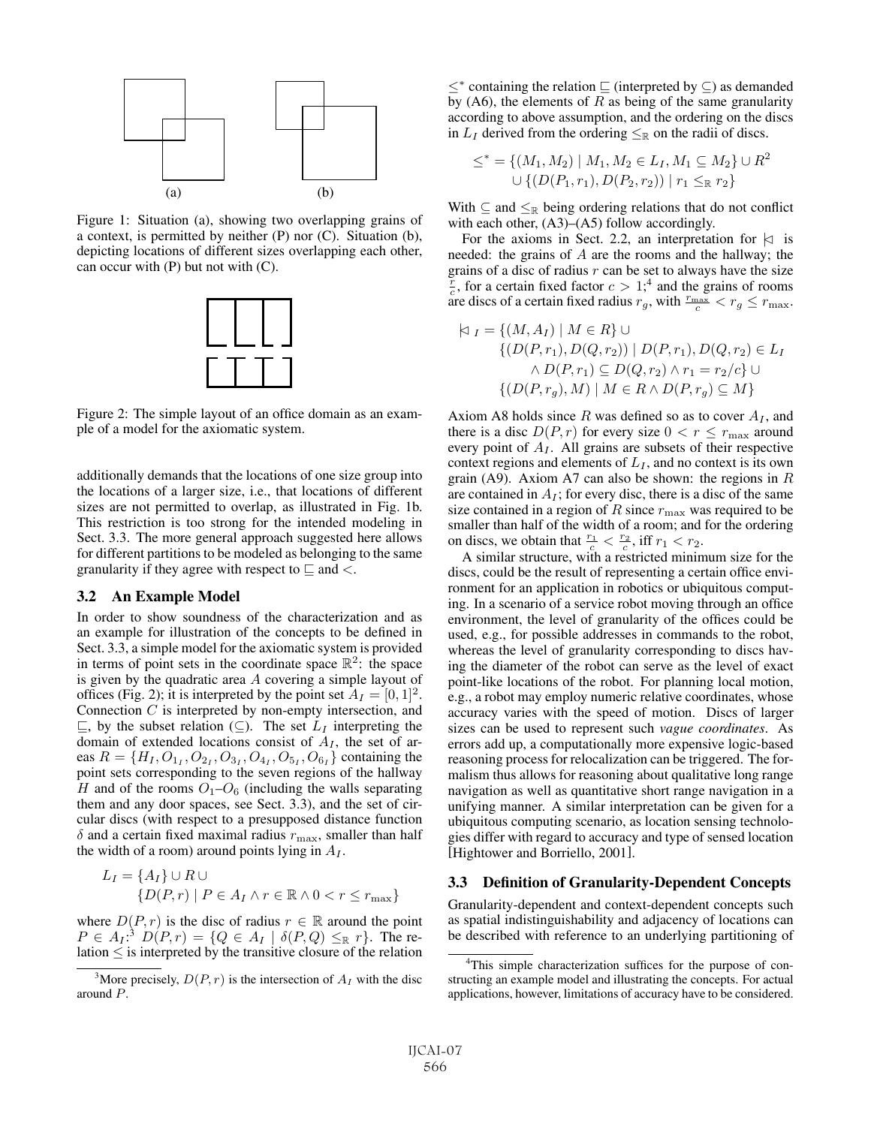

Figure 1: Situation (a), showing two overlapping grains of a context, is permitted by neither (P) nor (C). Situation (b), depicting locations of different sizes overlapping each other, can occur with  $(P)$  but not with  $(C)$ .



Figure 2: The simple layout of an office domain as an example of a model for the axiomatic system.

additionally demands that the locations of one size group into the locations of a larger size, i.e., that locations of different sizes are not permitted to overlap, as illustrated in Fig. 1b. This restriction is too strong for the intended modeling in Sect. 3.3. The more general approach suggested here allows for different partitions to be modeled as belonging to the same granularity if they agree with respect to  $\subseteq$  and  $\lt$ .

#### 3.2 An Example Model

In order to show soundness of the characterization and as an example for illustration of the concepts to be defined in Sect. 3.3, a simple model for the axiomatic system is provided in terms of point sets in the coordinate space  $\mathbb{R}^2$ : the space is given by the quadratic area A covering a simple layout of offices (Fig. 2); it is interpreted by the point set  $A_I = [0, 1]^2$ . Connection  $C$  is interpreted by non-empty intersection, and  $\subseteq$ , by the subset relation ( $\subseteq$ ). The set  $L_I$  interpreting the domain of extended locations consist of  $A<sub>I</sub>$ , the set of areas  $R = \{H_I, O_{1_I}, O_{2_I}, O_{3_I}, O_{4_I}, O_{5_I}, O_{6_I}\}$  containing the point sets corresponding to the seven regions of the hallway H and of the rooms  $O_1-O_6$  (including the walls separating them and any door spaces, see Sect. 3.3), and the set of circular discs (with respect to a presupposed distance function  $\delta$  and a certain fixed maximal radius  $r_{\text{max}}$ , smaller than half the width of a room) around points lying in  $A_I$ .

$$
L_I = \{A_I\} \cup R \cup
$$
  

$$
\{D(P,r) \mid P \in A_I \land r \in \mathbb{R} \land 0 < r \le r_{\text{max}}\}
$$

where  $D(P, r)$  is the disc of radius  $r \in \mathbb{R}$  around the point  $P \in A_I$ :<sup>3</sup>  $D(P,r) = \{Q \in A_I \mid \delta(P,Q) \leq_R r\}$ . The re-<br>lation  $\leq$  is interpreted by the transitive closure of the relation lation  $\leq$  is interpreted by the transitive closure of the relation

≤<sup>∗</sup> containing the relation  $\sqsubseteq$  (interpreted by  $\subseteq$ ) as demanded by (A6), the elements of  $R$  as being of the same granularity according to above assumption, and the ordering on the discs in  $L_I$  derived from the ordering  $\leq_R$  on the radii of discs.

$$
\le^* = \{ (M_1, M_2) \mid M_1, M_2 \in L_I, M_1 \subseteq M_2 \} \cup R^2
$$
  
 
$$
\cup \{ (D(P_1, r_1), D(P_2, r_2)) \mid r_1 \leq_{\mathbb{R}} r_2 \}
$$

With  $\subseteq$  and  $\leq_{\mathbb{R}}$  being ordering relations that do not conflict with each other,  $(A3)$ – $(A5)$  follow accordingly.

For the axioms in Sect. 2.2, an interpretation for  $\vert z \vert$  is needed: the grains of  $A$  are the rooms and the hallway; the grains of a disc of radius  $r$  can be set to always have the size grains of a disc of radius r can be set to always have the size  $\frac{r}{c}$ , for a certain fixed factor  $c > 1$ ;<sup>4</sup> and the grains of rooms are discs of a certain fixed radius  $r_c$ , with  $\frac{r_{\text{max}}}{c} < r_c \le r_{\text{max}}$ are discs of a certain fixed radius  $r_g$ , with  $\frac{r_{\text{max}}}{c} < r_g \le r_{\text{max}}$ .

$$
\begin{aligned} \n\forall \ I = \{ (M, A_I) \mid M \in R \} \cup \\ \n\{ (D(P, r_1), D(Q, r_2)) \mid D(P, r_1), D(Q, r_2) \in L_I \\ \n\land D(P, r_1) \subseteq D(Q, r_2) \land r_1 = r_2/c \} \cup \\ \n\{ (D(P, r_g), M) \mid M \in R \land D(P, r_g) \subseteq M \} \n\end{aligned}
$$

Axiom A8 holds since  $R$  was defined so as to cover  $A_I$ , and there is a disc  $D(P, r)$  for every size  $0 < r \leq r_{\text{max}}$  around every point of  $A<sub>I</sub>$ . All grains are subsets of their respective context regions and elements of  $L_I$ , and no context is its own grain (A9). Axiom A7 can also be shown: the regions in  $R$ are contained in  $A_I$ ; for every disc, there is a disc of the same size contained in a region of R since  $r_{\text{max}}$  was required to be smaller than half of the width of a room; and for the ordering on discs, we obtain that  $\frac{r_1}{c} < \frac{r_2}{c}$ , iff  $r_1 < r_2$ .<br>A similar structure, with a restricted minimum size for the

discs, could be the result of representing a certain office environment for an application in robotics or ubiquitous computing. In a scenario of a service robot moving through an office environment, the level of granularity of the offices could be used, e.g., for possible addresses in commands to the robot, whereas the level of granularity corresponding to discs having the diameter of the robot can serve as the level of exact point-like locations of the robot. For planning local motion, e.g., a robot may employ numeric relative coordinates, whose accuracy varies with the speed of motion. Discs of larger sizes can be used to represent such *vague coordinates*. As errors add up, a computationally more expensive logic-based reasoning process for relocalization can be triggered. The formalism thus allows for reasoning about qualitative long range navigation as well as quantitative short range navigation in a unifying manner. A similar interpretation can be given for a ubiquitous computing scenario, as location sensing technologies differ with regard to accuracy and type of sensed location [Hightower and Borriello, 2001].

# 3.3 Definition of Granularity-Dependent Concepts

Granularity-dependent and context-dependent concepts such as spatial indistinguishability and adjacency of locations can be described with reference to an underlying partitioning of

<sup>&</sup>lt;sup>3</sup>More precisely,  $D(P, r)$  is the intersection of  $A_I$  with the disc around P.

<sup>&</sup>lt;sup>4</sup>This simple characterization suffices for the purpose of constructing an example model and illustrating the concepts. For actual applications, however, limitations of accuracy have to be considered.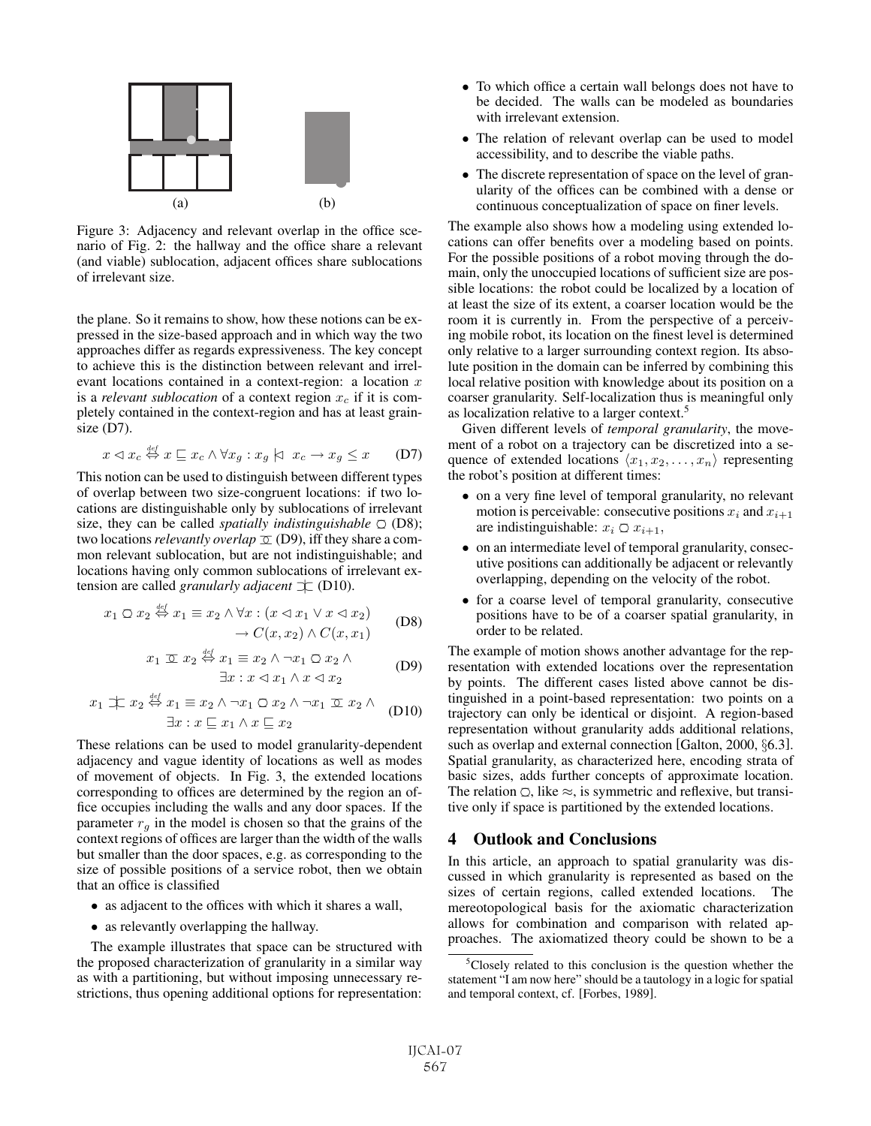

Figure 3: Adjacency and relevant overlap in the office scenario of Fig. 2: the hallway and the office share a relevant (and viable) sublocation, adjacent offices share sublocations of irrelevant size.

the plane. So it remains to show, how these notions can be expressed in the size-based approach and in which way the two approaches differ as regards expressiveness. The key concept to achieve this is the distinction between relevant and irrelevant locations contained in a context-region: a location  $x$ is a *relevant sublocation* of a context region  $x_c$  if it is completely contained in the context-region and has at least grainsize (D7).

$$
x \triangleleft x_c \stackrel{\text{def}}{\leftrightarrow} x \sqsubseteq x_c \land \forall x_g : x_g \mid \exists x_c \rightarrow x_g \leq x \qquad (D7)
$$

This notion can be used to distinguish between different types of overlap between two size-congruent locations: if two locations are distinguishable only by sublocations of irrelevant size, they can be called *spatially indistinguishable* ○ (D8); two locations *relevantly overlap*  $\sigma$  (D9), iff they share a common relevant sublocation, but are not indistinguishable; and locations having only common sublocations of irrelevant extension are called *granularly adjacent* ⊃|⊂ (D10).

$$
x_1 \bigcirc x_2 \stackrel{\text{def}}{\Leftrightarrow} x_1 \equiv x_2 \land \forall x : (x \triangleleft x_1 \lor x \triangleleft x_2) \rightarrow C(x, x_2) \land C(x, x_1)
$$
 (D8)

$$
x_1 \n\mathbb{Z} \n\mathcal{Z} \stackrel{\text{def}}{\Leftrightarrow} x_1 \equiv x_2 \land \neg x_1 \cap x_2 \land \exists x : x \lhd x_1 \land x \lhd x_2
$$
 (D9)

$$
x_1 \pm x_2 \stackrel{\text{def}}{\Leftrightarrow} x_1 \equiv x_2 \land \neg x_1 \Box x_2 \land \neg x_1 \Box x_2 \land
$$
  

$$
\exists x : x \sqsubseteq x_1 \land x \sqsubseteq x_2
$$
 (D10)

These relations can be used to model granularity-dependent adjacency and vague identity of locations as well as modes of movement of objects. In Fig. 3, the extended locations corresponding to offices are determined by the region an office occupies including the walls and any door spaces. If the parameter  $r_q$  in the model is chosen so that the grains of the context regions of offices are larger than the width of the walls but smaller than the door spaces, e.g. as corresponding to the size of possible positions of a service robot, then we obtain that an office is classified

- as adjacent to the offices with which it shares a wall,
- as relevantly overlapping the hallway.

The example illustrates that space can be structured with the proposed characterization of granularity in a similar way as with a partitioning, but without imposing unnecessary restrictions, thus opening additional options for representation:

- To which office a certain wall belongs does not have to be decided. The walls can be modeled as boundaries with irrelevant extension.
- The relation of relevant overlap can be used to model accessibility, and to describe the viable paths.
- The discrete representation of space on the level of granularity of the offices can be combined with a dense or continuous conceptualization of space on finer levels.

The example also shows how a modeling using extended locations can offer benefits over a modeling based on points. For the possible positions of a robot moving through the domain, only the unoccupied locations of sufficient size are possible locations: the robot could be localized by a location of at least the size of its extent, a coarser location would be the room it is currently in. From the perspective of a perceiving mobile robot, its location on the finest level is determined only relative to a larger surrounding context region. Its absolute position in the domain can be inferred by combining this local relative position with knowledge about its position on a coarser granularity. Self-localization thus is meaningful only as localization relative to a larger context.<sup>5</sup>

Given different levels of *temporal granularity*, the movement of a robot on a trajectory can be discretized into a sequence of extended locations  $\langle x_1, x_2, \ldots, x_n \rangle$  representing the robot's position at different times:

- on a very fine level of temporal granularity, no relevant motion is perceivable: consecutive positions  $x_i$  and  $x_{i+1}$ are indistinguishable:  $x_i \n\mathcal{Q} x_{i+1}$ ,
- on an intermediate level of temporal granularity, consecutive positions can additionally be adjacent or relevantly overlapping, depending on the velocity of the robot.
- for a coarse level of temporal granularity, consecutive positions have to be of a coarser spatial granularity, in order to be related.

The example of motion shows another advantage for the representation with extended locations over the representation by points. The different cases listed above cannot be distinguished in a point-based representation: two points on a trajectory can only be identical or disjoint. A region-based representation without granularity adds additional relations, such as overlap and external connection [Galton, 2000, §6.3]. Spatial granularity, as characterized here, encoding strata of basic sizes, adds further concepts of approximate location. The relation  $\bigcirc$ , like  $\approx$ , is symmetric and reflexive, but transitive only if space is partitioned by the extended locations.

## 4 Outlook and Conclusions

In this article, an approach to spatial granularity was discussed in which granularity is represented as based on the sizes of certain regions, called extended locations. The mereotopological basis for the axiomatic characterization allows for combination and comparison with related approaches. The axiomatized theory could be shown to be a

<sup>&</sup>lt;sup>5</sup>Closely related to this conclusion is the question whether the statement "I am now here" should be a tautology in a logic for spatial and temporal context, cf. [Forbes, 1989].